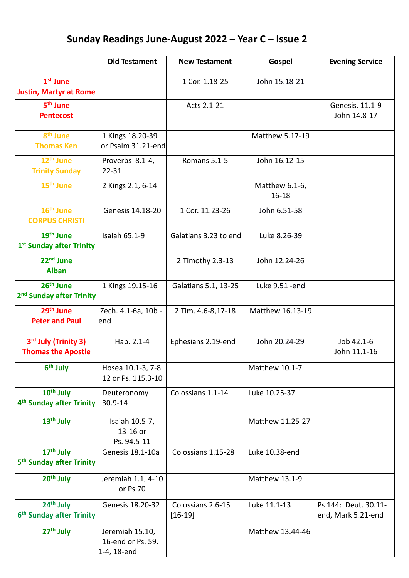## **Sunday Readings June-August 2022 – Year C – Issue 2**

|                                                               | <b>Old Testament</b>                                | <b>New Testament</b>           | Gospel                      | <b>Evening Service</b>                     |
|---------------------------------------------------------------|-----------------------------------------------------|--------------------------------|-----------------------------|--------------------------------------------|
| $1st$ June<br><b>Justin, Martyr at Rome</b>                   |                                                     | 1 Cor. 1.18-25                 | John 15.18-21               |                                            |
| 5 <sup>th</sup> June<br><b>Pentecost</b>                      |                                                     | Acts 2.1-21                    |                             | Genesis. 11.1-9<br>John 14.8-17            |
| 8 <sup>th</sup> June<br><b>Thomas Ken</b>                     | 1 Kings 18.20-39<br>or Psalm 31.21-end              |                                | Matthew 5.17-19             |                                            |
| 12 <sup>th</sup> June<br><b>Trinity Sunday</b>                | Proverbs 8.1-4,<br>$22 - 31$                        | Romans 5.1-5                   | John 16.12-15               |                                            |
| 15 <sup>th</sup> June                                         | 2 Kings 2.1, 6-14                                   |                                | Matthew 6.1-6,<br>$16 - 18$ |                                            |
| 16 <sup>th</sup> June<br><b>CORPUS CHRISTI</b>                | Genesis 14.18-20                                    | 1 Cor. 11.23-26                | John 6.51-58                |                                            |
| 19 <sup>th</sup> June<br>1 <sup>st</sup> Sunday after Trinity | <b>Isaiah 65.1-9</b>                                | Galatians 3.23 to end          | Luke 8.26-39                |                                            |
| 22 <sup>nd</sup> June<br><b>Alban</b>                         |                                                     | 2 Timothy 2.3-13               | John 12.24-26               |                                            |
| 26 <sup>th</sup> June<br>2 <sup>nd</sup> Sunday after Trinity | 1 Kings 19.15-16                                    | Galatians 5.1, 13-25           | Luke 9.51 -end              |                                            |
| 29 <sup>th</sup> June<br><b>Peter and Paul</b>                | Zech. 4.1-6a, 10b -<br>lend                         | 2 Tim. 4.6-8,17-18             | Matthew 16.13-19            |                                            |
| 3rd July (Trinity 3)<br><b>Thomas the Apostle</b>             | Hab. 2.1-4                                          | Ephesians 2.19-end             | John 20.24-29               | Job 42.1-6<br>John 11.1-16                 |
| 6 <sup>th</sup> July                                          | Hosea 10.1-3, 7-8<br>12 or Ps. 115.3-10             |                                | Matthew 10.1-7              |                                            |
| 10 <sup>th</sup> July<br>4 <sup>th</sup> Sunday after Trinity | Deuteronomy<br>30.9-14                              | Colossians 1.1-14              | Luke 10.25-37               |                                            |
| 13 <sup>th</sup> July                                         | Isaiah 10.5-7,<br>13-16 or<br>Ps. 94.5-11           |                                | Matthew 11.25-27            |                                            |
| 17 <sup>th</sup> July<br>5 <sup>th</sup> Sunday after Trinity | Genesis 18.1-10a                                    | Colossians 1.15-28             | Luke 10.38-end              |                                            |
| 20 <sup>th</sup> July                                         | Jeremiah 1.1, 4-10<br>or Ps.70                      |                                | Matthew 13.1-9              |                                            |
| 24 <sup>th</sup> July<br>6 <sup>th</sup> Sunday after Trinity | Genesis 18.20-32                                    | Colossians 2.6-15<br>$[16-19]$ | Luke 11.1-13                | Ps 144: Deut. 30.11-<br>end, Mark 5.21-end |
| 27 <sup>th</sup> July                                         | Jeremiah 15.10,<br>16-end or Ps. 59.<br>1-4, 18-end |                                | Matthew 13.44-46            |                                            |